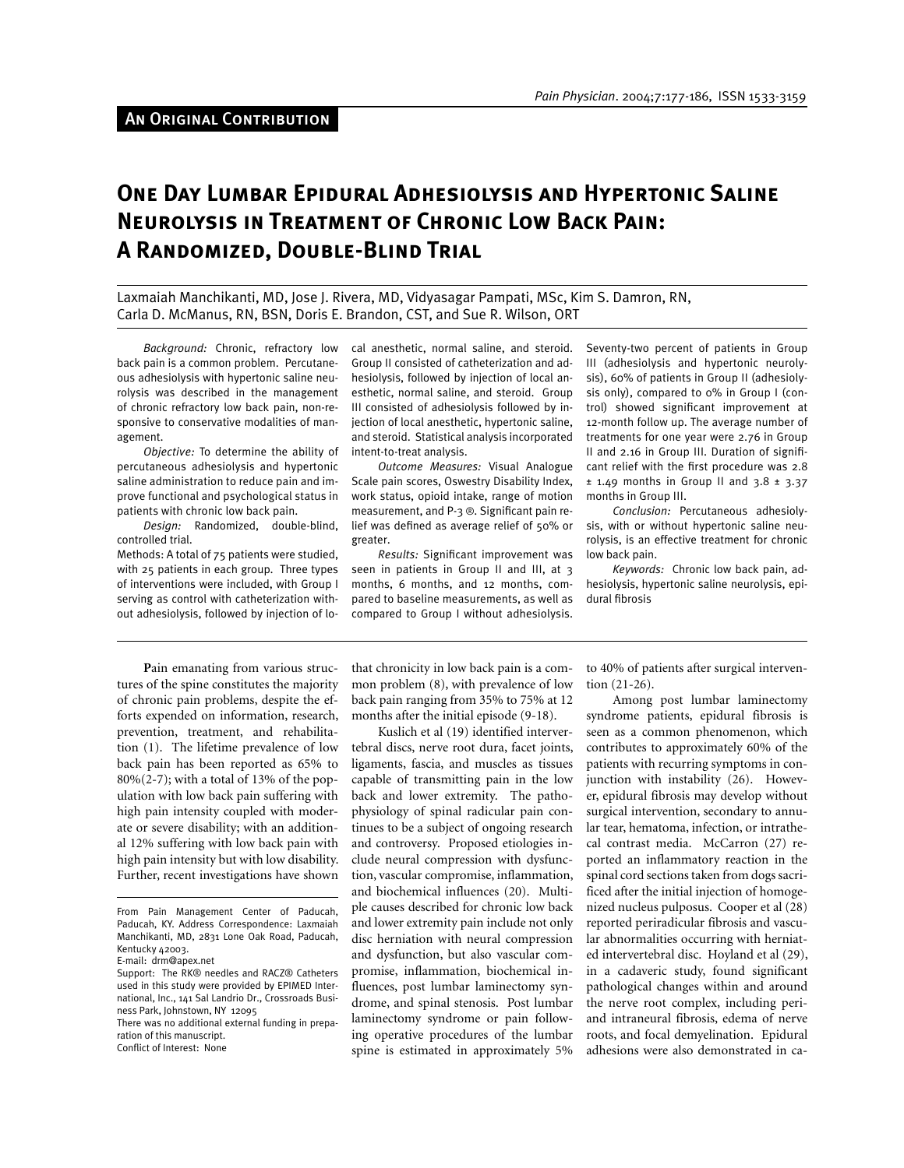# An Original Contribution

# **One Day Lumbar Epidural Adhesiolysis and Hypertonic Saline Neurolysis in Treatment of Chronic Low Back Pain: A Randomized, Double-Blind Trial**

Laxmaiah Manchikanti, MD, Jose J. Rivera, MD, Vidyasagar Pampati, MSc, Kim S. Damron, RN, Carla D. McManus, RN, BSN, Doris E. Brandon, CST, and Sue R. Wilson, ORT

*Background:* Chronic, refractory low back pain is a common problem. Percutaneous adhesiolysis with hypertonic saline neurolysis was described in the management of chronic refractory low back pain, non-responsive to conservative modalities of management.

*Objective:* To determine the ability of percutaneous adhesiolysis and hypertonic saline administration to reduce pain and improve functional and psychological status in patients with chronic low back pain.

*Design:* Randomized, double-blind, controlled trial.

Methods: A total of 75 patients were studied, with 25 patients in each group. Three types of interventions were included, with Group I serving as control with catheterization without adhesiolysis, followed by injection of local anesthetic, normal saline, and steroid. Group II consisted of catheterization and adhesiolysis, followed by injection of local anesthetic, normal saline, and steroid. Group III consisted of adhesiolysis followed by injection of local anesthetic, hypertonic saline, and steroid. Statistical analysis incorporated intent-to-treat analysis.

*Outcome Measures:* Visual Analogue Scale pain scores, Oswestry Disability Index, work status, opioid intake, range of motion measurement, and P-3 ®. Significant pain relief was defined as average relief of 50% or greater.

*Results:* Significant improvement was seen in patients in Group II and III, at 3 months, 6 months, and 12 months, compared to baseline measurements, as well as compared to Group I without adhesiolysis.

Seventy-two percent of patients in Group III (adhesiolysis and hypertonic neurolysis), 60% of patients in Group II (adhesiolysis only), compared to 0% in Group I (control) showed significant improvement at 12-month follow up. The average number of treatments for one year were 2.76 in Group II and 2.16 in Group III. Duration of significant relief with the first procedure was 2.8  $\pm$  1.49 months in Group II and 3.8  $\pm$  3.37 months in Group III.

*Conclusion:* Percutaneous adhesiolysis, with or without hypertonic saline neurolysis, is an effective treatment for chronic low back pain.

*Keywords:* Chronic low back pain, adhesiolysis, hypertonic saline neurolysis, epidural fibrosis

**P**ain emanating from various structures of the spine constitutes the majority of chronic pain problems, despite the efforts expended on information, research, prevention, treatment, and rehabilitation (1). The lifetime prevalence of low back pain has been reported as 65% to 80%(2-7); with a total of 13% of the population with low back pain suffering with high pain intensity coupled with moderate or severe disability; with an additional 12% suffering with low back pain with high pain intensity but with low disability. Further, recent investigations have shown that chronicity in low back pain is a common problem (8), with prevalence of low back pain ranging from 35% to 75% at 12 months after the initial episode (9-18).

Kuslich et al (19) identified intervertebral discs, nerve root dura, facet joints, ligaments, fascia, and muscles as tissues capable of transmitting pain in the low back and lower extremity. The pathophysiology of spinal radicular pain continues to be a subject of ongoing research and controversy. Proposed etiologies include neural compression with dysfunction, vascular compromise, inflammation, and biochemical influences (20). Multiple causes described for chronic low back and lower extremity pain include not only disc herniation with neural compression and dysfunction, but also vascular compromise, inflammation, biochemical influences, post lumbar laminectomy syndrome, and spinal stenosis. Post lumbar laminectomy syndrome or pain following operative procedures of the lumbar spine is estimated in approximately 5%

to 40% of patients after surgical intervention (21-26).

Among post lumbar laminectomy syndrome patients, epidural fibrosis is seen as a common phenomenon, which contributes to approximately 60% of the patients with recurring symptoms in conjunction with instability (26). However, epidural fibrosis may develop without surgical intervention, secondary to annular tear, hematoma, infection, or intrathecal contrast media. McCarron (27) reported an inflammatory reaction in the spinal cord sections taken from dogs sacrificed after the initial injection of homogenized nucleus pulposus. Cooper et al (28) reported periradicular fibrosis and vascular abnormalities occurring with herniated intervertebral disc. Hoyland et al (29), in a cadaveric study, found significant pathological changes within and around the nerve root complex, including periand intraneural fibrosis, edema of nerve roots, and focal demyelination. Epidural adhesions were also demonstrated in ca-

From Pain Management Center of Paducah, Paducah, KY. Address Correspondence: Laxmaiah Manchikanti, MD, 2831 Lone Oak Road, Paducah, Kentucky 42003.

E-mail: drm@apex.net Support: The RK® needles and RACZ® Catheters used in this study were provided by EPIMED International, Inc., 141 Sal Landrio Dr., Crossroads Business Park, Johnstown, NY 12095

There was no additional external funding in preparation of this manuscript.

Conflict of Interest: None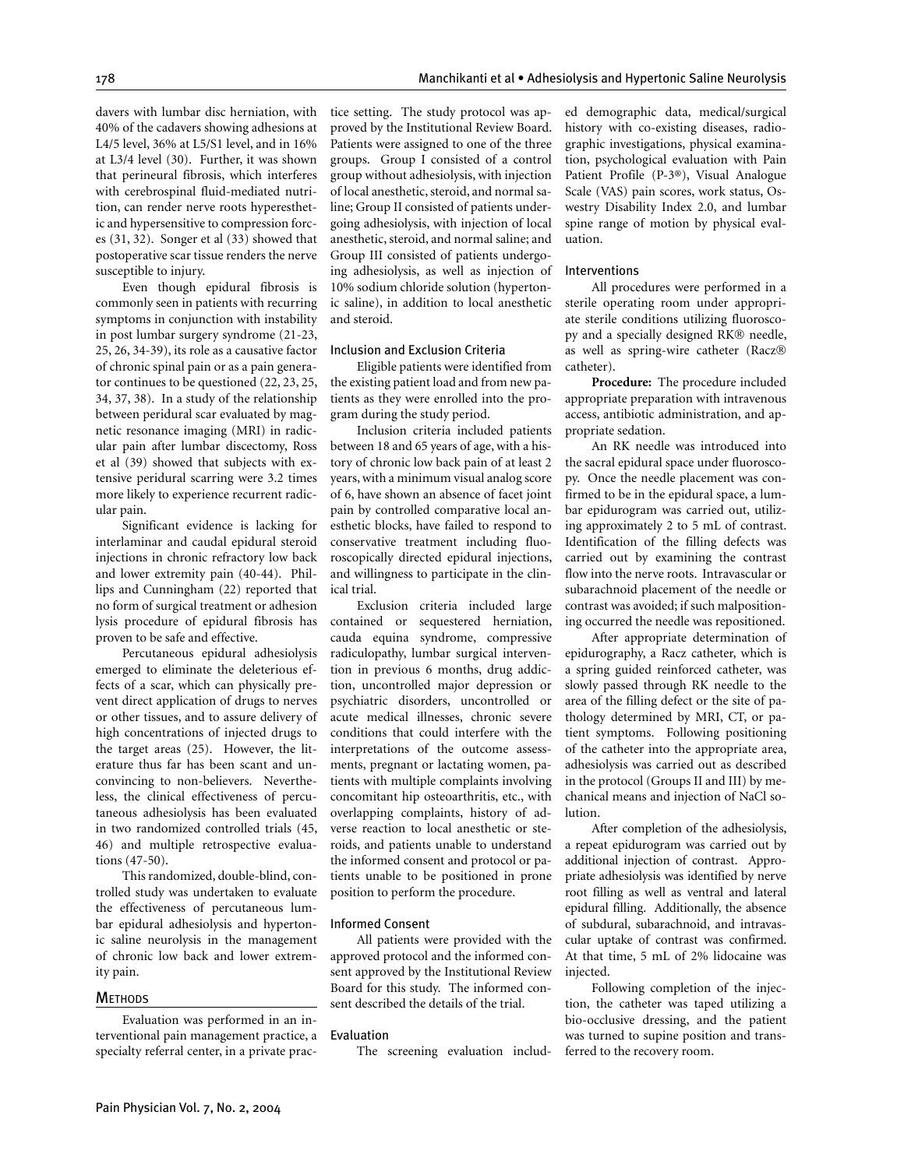davers with lumbar disc herniation, with 40% of the cadavers showing adhesions at L4/5 level, 36% at L5/S1 level, and in 16% at L3/4 level (30). Further, it was shown that perineural fibrosis, which interferes with cerebrospinal fluid-mediated nutrition, can render nerve roots hyperesthetic and hypersensitive to compression forces (31, 32). Songer et al (33) showed that postoperative scar tissue renders the nerve susceptible to injury.

Even though epidural fibrosis is commonly seen in patients with recurring symptoms in conjunction with instability in post lumbar surgery syndrome (21-23, 25, 26, 34-39), its role as a causative factor of chronic spinal pain or as a pain generator continues to be questioned (22, 23, 25, 34, 37, 38). In a study of the relationship between peridural scar evaluated by magnetic resonance imaging (MRI) in radicular pain after lumbar discectomy, Ross et al (39) showed that subjects with extensive peridural scarring were 3.2 times more likely to experience recurrent radicular pain.

Significant evidence is lacking for interlaminar and caudal epidural steroid injections in chronic refractory low back and lower extremity pain (40-44). Phillips and Cunningham (22) reported that no form of surgical treatment or adhesion lysis procedure of epidural fibrosis has proven to be safe and effective.

Percutaneous epidural adhesiolysis emerged to eliminate the deleterious effects of a scar, which can physically prevent direct application of drugs to nerves or other tissues, and to assure delivery of high concentrations of injected drugs to the target areas (25). However, the literature thus far has been scant and unconvincing to non-believers. Nevertheless, the clinical effectiveness of percutaneous adhesiolysis has been evaluated in two randomized controlled trials (45, 46) and multiple retrospective evaluations (47-50).

This randomized, double-blind, controlled study was undertaken to evaluate the effectiveness of percutaneous lumbar epidural adhesiolysis and hypertonic saline neurolysis in the management of chronic low back and lower extremity pain.

#### **METHODS**

Evaluation was performed in an interventional pain management practice, a specialty referral center, in a private practice setting. The study protocol was approved by the Institutional Review Board. Patients were assigned to one of the three groups. Group I consisted of a control group without adhesiolysis, with injection of local anesthetic, steroid, and normal saline; Group II consisted of patients undergoing adhesiolysis, with injection of local anesthetic, steroid, and normal saline; and Group III consisted of patients undergoing adhesiolysis, as well as injection of 10% sodium chloride solution (hypertonic saline), in addition to local anesthetic and steroid.

#### Inclusion and Exclusion Criteria

Eligible patients were identified from the existing patient load and from new patients as they were enrolled into the program during the study period.

Inclusion criteria included patients between 18 and 65 years of age, with a history of chronic low back pain of at least 2 years, with a minimum visual analog score of 6, have shown an absence of facet joint pain by controlled comparative local anesthetic blocks, have failed to respond to conservative treatment including fluoroscopically directed epidural injections, and willingness to participate in the clinical trial.

Exclusion criteria included large contained or sequestered herniation, cauda equina syndrome, compressive radiculopathy, lumbar surgical intervention in previous 6 months, drug addiction, uncontrolled major depression or psychiatric disorders, uncontrolled or acute medical illnesses, chronic severe conditions that could interfere with the interpretations of the outcome assessments, pregnant or lactating women, patients with multiple complaints involving concomitant hip osteoarthritis, etc., with overlapping complaints, history of adverse reaction to local anesthetic or steroids, and patients unable to understand the informed consent and protocol or patients unable to be positioned in prone position to perform the procedure.

#### Informed Consent

All patients were provided with the approved protocol and the informed consent approved by the Institutional Review Board for this study. The informed consent described the details of the trial.

#### Evaluation

The screening evaluation includ-

ed demographic data, medical/surgical history with co-existing diseases, radiographic investigations, physical examination, psychological evaluation with Pain Patient Profile (P-3®), Visual Analogue Scale (VAS) pain scores, work status, Oswestry Disability Index 2.0, and lumbar spine range of motion by physical evaluation.

# Interventions

All procedures were performed in a sterile operating room under appropriate sterile conditions utilizing fluoroscopy and a specially designed RK® needle, as well as spring-wire catheter (Racz catheter).

**Procedure:** The procedure included appropriate preparation with intravenous access, antibiotic administration, and appropriate sedation.

An RK needle was introduced into the sacral epidural space under fluoroscopy. Once the needle placement was confirmed to be in the epidural space, a lumbar epidurogram was carried out, utilizing approximately 2 to 5 mL of contrast. Identification of the filling defects was carried out by examining the contrast flow into the nerve roots. Intravascular or subarachnoid placement of the needle or contrast was avoided; if such malpositioning occurred the needle was repositioned.

After appropriate determination of epidurography, a Racz catheter, which is a spring guided reinforced catheter, was slowly passed through RK needle to the area of the filling defect or the site of pathology determined by MRI, CT, or patient symptoms. Following positioning of the catheter into the appropriate area, adhesiolysis was carried out as described in the protocol (Groups II and III) by mechanical means and injection of NaCl solution.

After completion of the adhesiolysis, a repeat epidurogram was carried out by additional injection of contrast. Appropriate adhesiolysis was identified by nerve root filling as well as ventral and lateral epidural filling. Additionally, the absence of subdural, subarachnoid, and intravascular uptake of contrast was confirmed. At that time, 5 mL of 2% lidocaine was injected.

Following completion of the injection, the catheter was taped utilizing a bio-occlusive dressing, and the patient was turned to supine position and transferred to the recovery room.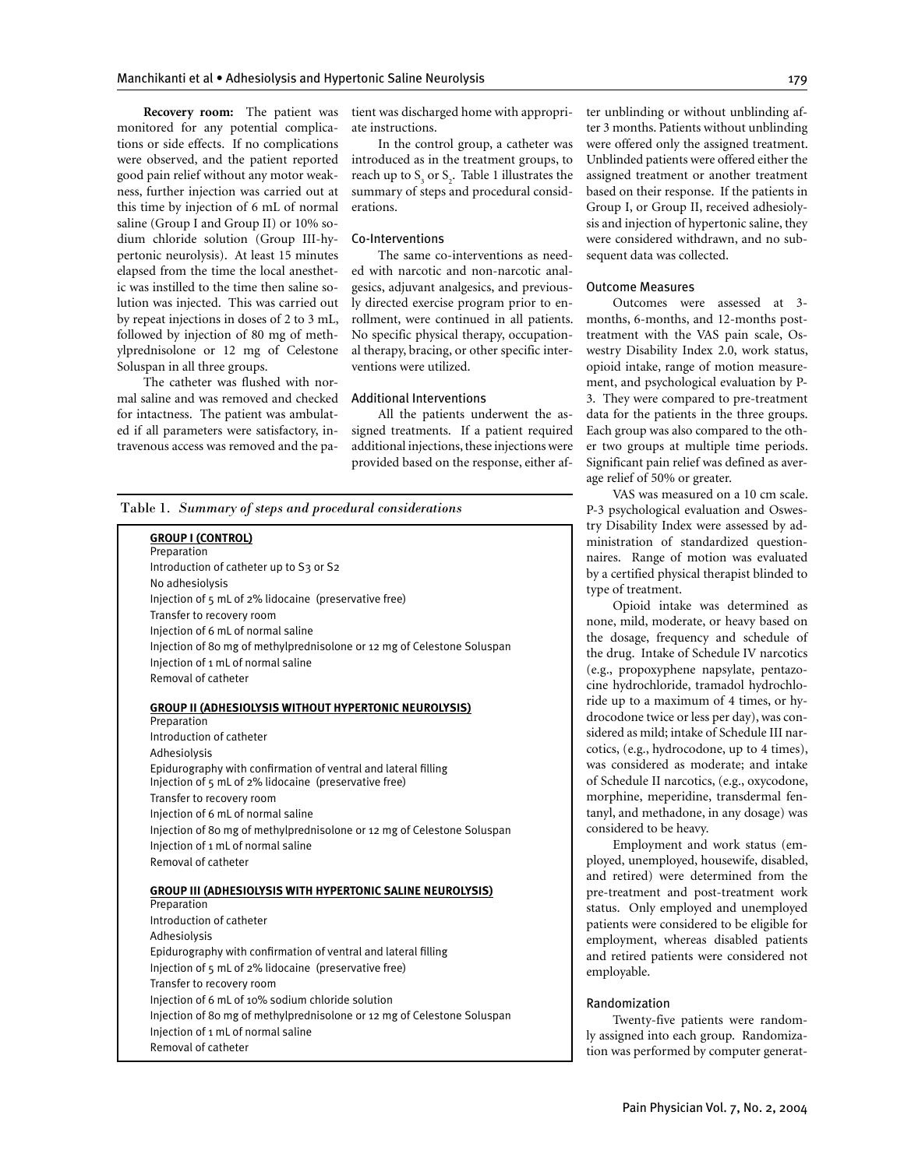**Recovery room:** The patient was monitored for any potential complications or side effects. If no complications were observed, and the patient reported good pain relief without any motor weakness, further injection was carried out at this time by injection of 6 mL of normal saline (Group I and Group II) or 10% sodium chloride solution (Group III-hypertonic neurolysis). At least 15 minutes elapsed from the time the local anesthetic was instilled to the time then saline solution was injected. This was carried out by repeat injections in doses of 2 to 3 mL, followed by injection of 80 mg of methylprednisolone or 12 mg of Celestone Soluspan in all three groups.

The catheter was flushed with normal saline and was removed and checked for intactness. The patient was ambulated if all parameters were satisfactory, intravenous access was removed and the patient was discharged home with appropriate instructions.

In the control group, a catheter was introduced as in the treatment groups, to reach up to  $S_3$  or  $S_2$ . Table 1 illustrates the summary of steps and procedural considerations.

#### Co-Interventions

The same co-interventions as needed with narcotic and non-narcotic analgesics, adjuvant analgesics, and previously directed exercise program prior to enrollment, were continued in all patients. No specific physical therapy, occupational therapy, bracing, or other specific interventions were utilized.

#### Additional Interventions

All the patients underwent the assigned treatments. If a patient required additional injections, these injections were provided based on the response, either af-

Table 1*. Summary of steps and procedural considerations*

#### **GROUP I (CONTROL)**

| UNUUF I (CUNTNUL)                                                       |
|-------------------------------------------------------------------------|
| Preparation                                                             |
| Introduction of catheter up to S3 or S2                                 |
| No adhesiolysis                                                         |
| Injection of $\frac{1}{5}$ mL of 2% lidocaine (preservative free)       |
| Transfer to recovery room                                               |
| Injection of 6 mL of normal saline                                      |
| Injection of 80 mg of methylprednisolone or 12 mg of Celestone Soluspan |
| Injection of 1 mL of normal saline                                      |
| Removal of catheter                                                     |
|                                                                         |
|                                                                         |
| <b>GROUP II (ADHESIOLYSIS WITHOUT HYPERTONIC NEUROLYSIS)</b>            |
| Preparation                                                             |
| Introduction of catheter                                                |
| Adhesiolysis                                                            |
| Epidurography with confirmation of ventral and lateral filling          |
| Injection of 5 mL of 2% lidocaine (preservative free)                   |
| Transfer to recovery room                                               |
| Injection of 6 mL of normal saline                                      |

Injection of 80 mg of methylprednisolone or 12 mg of Celestone Soluspan Injection of 1 mL of normal saline

Removal of catheter

**GROUP III (ADHESIOLYSIS WITH HYPERTONIC SALINE NEUROLYSIS) Preparation** Introduction of catheter Adhesiolysis Epidurography with confirmation of ventral and lateral filling Injection of 5 mL of 2% lidocaine (preservative free) Transfer to recovery room Injection of 6 mL of 10% sodium chloride solution Injection of 80 mg of methylprednisolone or 12 mg of Celestone Soluspan Injection of 1 mL of normal saline Removal of catheter

ter unblinding or without unblinding after 3 months. Patients without unblinding were offered only the assigned treatment. Unblinded patients were offered either the assigned treatment or another treatment based on their response. If the patients in Group I, or Group II, received adhesiolysis and injection of hypertonic saline, they were considered withdrawn, and no subsequent data was collected.

#### Outcome Measures

Outcomes were assessed at 3 months, 6-months, and 12-months posttreatment with the VAS pain scale, Oswestry Disability Index 2.0, work status, opioid intake, range of motion measurement, and psychological evaluation by P-3. They were compared to pre-treatment data for the patients in the three groups. Each group was also compared to the other two groups at multiple time periods. Significant pain relief was defined as average relief of 50% or greater.

VAS was measured on a 10 cm scale. P-3 psychological evaluation and Oswestry Disability Index were assessed by administration of standardized questionnaires. Range of motion was evaluated by a certified physical therapist blinded to type of treatment.

Opioid intake was determined as none, mild, moderate, or heavy based on the dosage, frequency and schedule of the drug. Intake of Schedule IV narcotics (e.g., propoxyphene napsylate, pentazocine hydrochloride, tramadol hydrochloride up to a maximum of 4 times, or hydrocodone twice or less per day), was considered as mild; intake of Schedule III narcotics, (e.g., hydrocodone, up to 4 times), was considered as moderate; and intake of Schedule II narcotics, (e.g., oxycodone, morphine, meperidine, transdermal fentanyl, and methadone, in any dosage) was considered to be heavy.

Employment and work status (employed, unemployed, housewife, disabled, and retired) were determined from the pre-treatment and post-treatment work status. Only employed and unemployed patients were considered to be eligible for employment, whereas disabled patients and retired patients were considered not employable.

#### Randomization

Twenty-five patients were randomly assigned into each group. Randomization was performed by computer generat-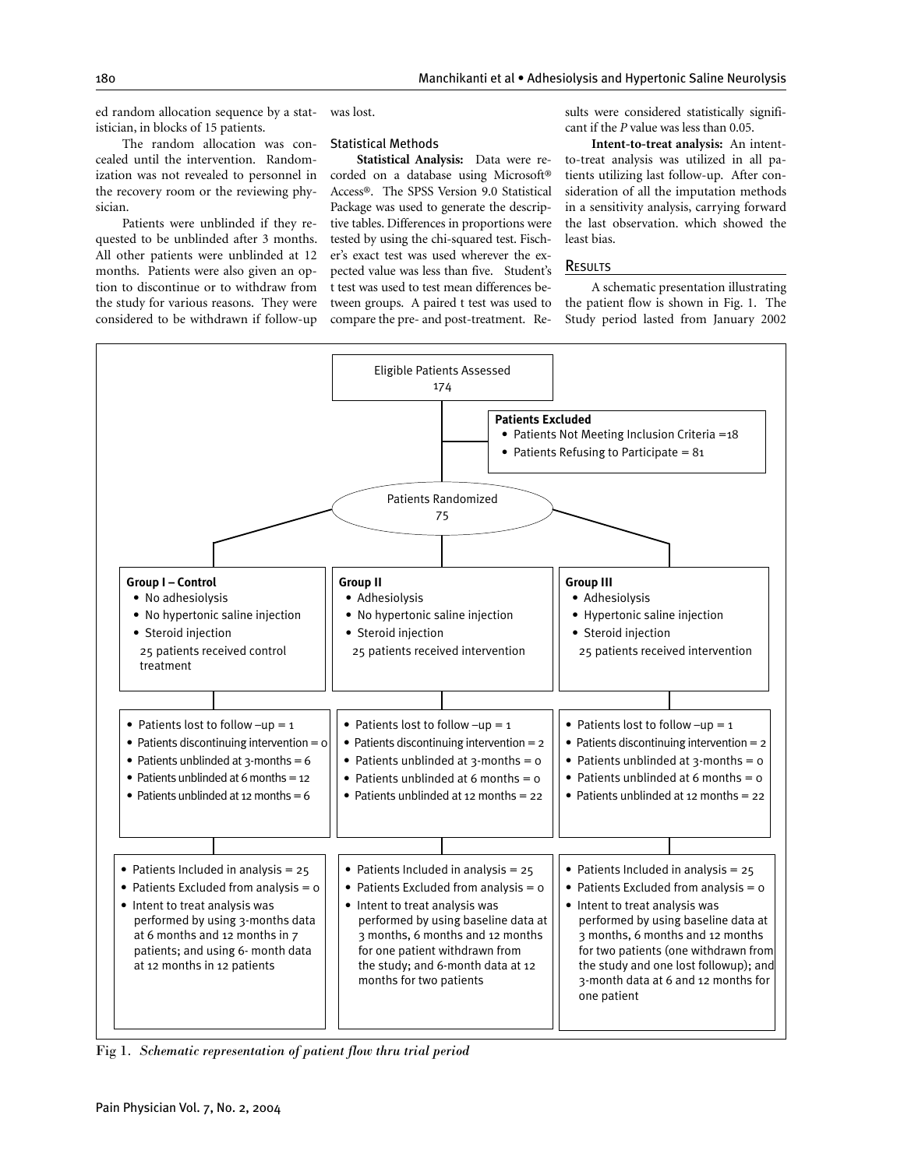ed random allocation sequence by a statistician, in blocks of 15 patients.

The random allocation was concealed until the intervention. Randomization was not revealed to personnel in corded on a database using Microsoft® the recovery room or the reviewing physician.

Patients were unblinded if they requested to be unblinded after 3 months. All other patients were unblinded at 12 months. Patients were also given an option to discontinue or to withdraw from the study for various reasons. They were considered to be withdrawn if follow-up was lost.

#### Statistical Methods

**Statistical Analysis:** Data were re-Access®. The SPSS Version 9.0 Statistical Package was used to generate the descriptive tables. Differences in proportions were tested by using the chi-squared test. Fischer's exact test was used wherever the expected value was less than five. Student's t test was used to test mean differences between groups. A paired t test was used to compare the pre- and post-treatment. Results were considered statistically significant if the *P* value was less than 0.05.

**Intent-to-treat analysis:** An intentto-treat analysis was utilized in all patients utilizing last follow-up. After consideration of all the imputation methods in a sensitivity analysis, carrying forward the last observation. which showed the least bias.

#### **RESULTS**

A schematic presentation illustrating the patient flow is shown in Fig. 1. The Study period lasted from January 2002



Fig 1*. Schematic representation of patient flow thru trial period*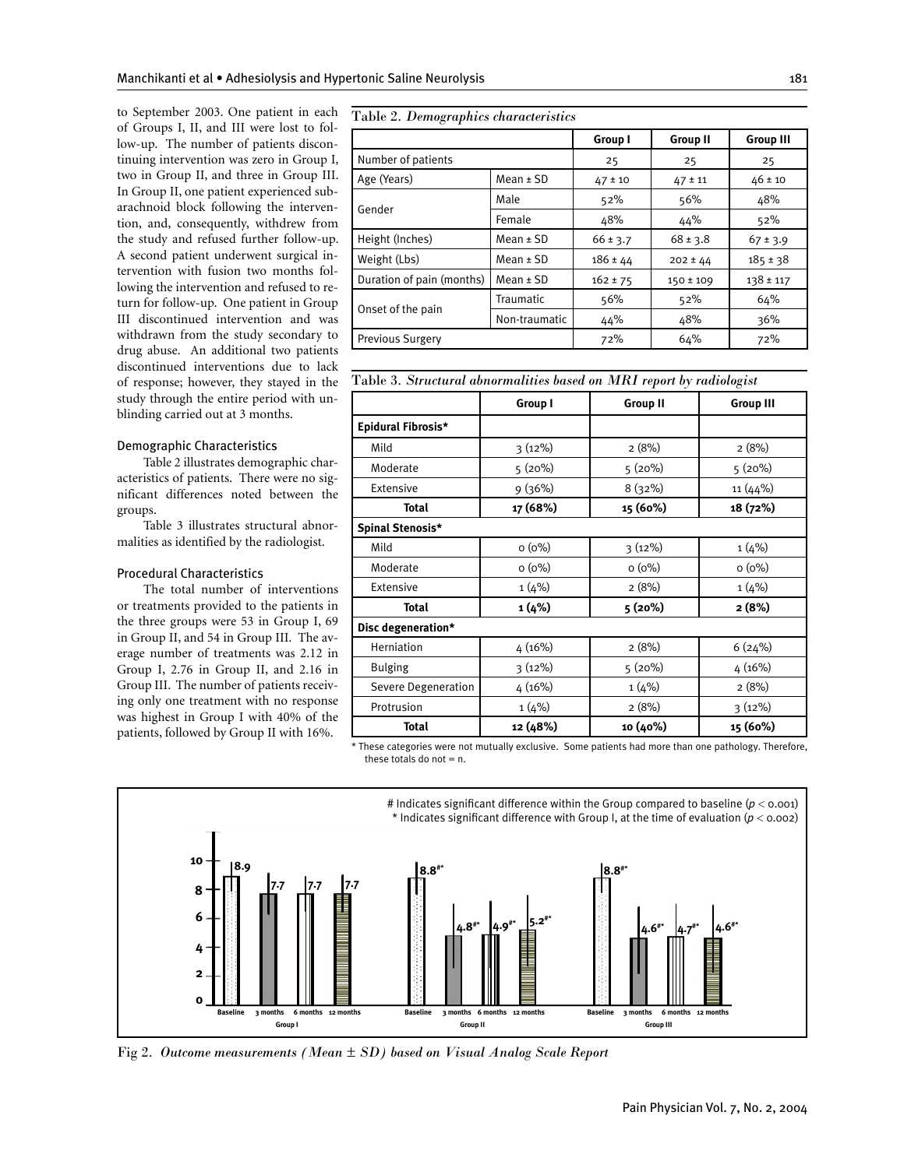to September 2003. One patient in each Table 2. Demographics characteristics of Groups I, II, and III were lost to follow-up. The number of patients discontinuing intervention was zero in Group I, two in Group II, and three in Group III. In Group II, one patient experienced subarachnoid block following the intervention, and, consequently, withdrew from the study and refused further follow-up. A second patient underwent surgical intervention with fusion two months following the intervention and refused to return for follow-up. One patient in Group III discontinued intervention and was withdrawn from the study secondary to drug abuse. An additional two patients discontinued interventions due to lack of response; however, they stayed in the study through the entire period with unblinding carried out at 3 months.

#### Demographic Characteristics

Table 2 illustrates demographic characteristics of patients. There were no significant differences noted between the groups.

Table 3 illustrates structural abnormalities as identified by the radiologist.

# Procedural Characteristics

The total number of interventions or treatments provided to the patients in the three groups were 53 in Group I, 69 in Group II, and 54 in Group III. The average number of treatments was 2.12 in Group I, 2.76 in Group II, and 2.16 in Group III. The number of patients receiving only one treatment with no response was highest in Group I with 40% of the patients, followed by Group II with 16%.

|                           |                  | Group I      | <b>Group II</b> | <b>Group III</b> |
|---------------------------|------------------|--------------|-----------------|------------------|
| Number of patients        |                  | 25           | 25              | 25               |
| Age (Years)               | $Mean \pm SD$    | $47 \pm 10$  | $47 \pm 11$     | $46 \pm 10$      |
| Gender                    | Male             | 52%          | 56%             | 48%              |
|                           | Female           | 48%          | 44%             | 52%              |
| Height (Inches)           | Mean $±$ SD      | $66 \pm 3.7$ | $68 \pm 3.8$    | $67 \pm 3.9$     |
| Weight (Lbs)              | $Mean \pm SD$    | $186 \pm 44$ | $202 \pm 44$    | $185 \pm 38$     |
| Duration of pain (months) | $Mean \pm SD$    | $162 \pm 75$ | $150 \pm 109$   | $138 \pm 117$    |
|                           | <b>Traumatic</b> | 56%          | 52%             | 64%              |
| Onset of the pain         | Non-traumatic    | 44%          | 48%             | 36%              |
| <b>Previous Surgery</b>   |                  | 72%          | 64%             | 72%              |

| Table 3. Structural abnormalities based on MRI report by radiologist |  |  |  |  |  |  |  |  |
|----------------------------------------------------------------------|--|--|--|--|--|--|--|--|
|----------------------------------------------------------------------|--|--|--|--|--|--|--|--|

|                     | Group I   | <b>Group II</b> | <b>Group III</b> |
|---------------------|-----------|-----------------|------------------|
| Epidural Fibrosis*  |           |                 |                  |
| Mild                | 3(12%)    | 2(8%)           | 2(8%)            |
| Moderate            | 5(20%)    | 5(20%)          | 5 (20%)          |
| Extensive           | 9 (36%)   | 8(32%)          | 11 (44%)         |
| Total               | 17 (68%)  | 15 (60%)        | 18 (72%)         |
| Spinal Stenosis*    |           |                 |                  |
| Mild                | $O(0\%)$  | 3(12%)          | 1(4%)            |
| Moderate            | $O(0\%)$  | $o(0\%)$        | $o(0\%)$         |
| Extensive           | 1(4%)     | 2(8%)           | 1(4%)            |
| <b>Total</b>        | 1 (4%)    | 5(20%)          | 2(8%)            |
| Disc degeneration*  |           |                 |                  |
| Herniation          | 4(16%)    | 2(8%)           | 6(24%)           |
| <b>Bulging</b>      | $3(12\%)$ | 5 (20%)         | 4(16%)           |
| Severe Degeneration | 4(16%)    | 1(4%)           | 2(8%)            |
| Protrusion          | 1(4%)     | 2(8%)           | 3(12%)           |
| Total               | 12 (48%)  | 10 (40%)        | 15 (60%)         |

\* These categories were not mutually exclusive. Some patients had more than one pathology. Therefore, these totals do not  $= n$ .



Fig 2*. Outcome measurements (Mean ± SD) based on Visual Analog Scale Report*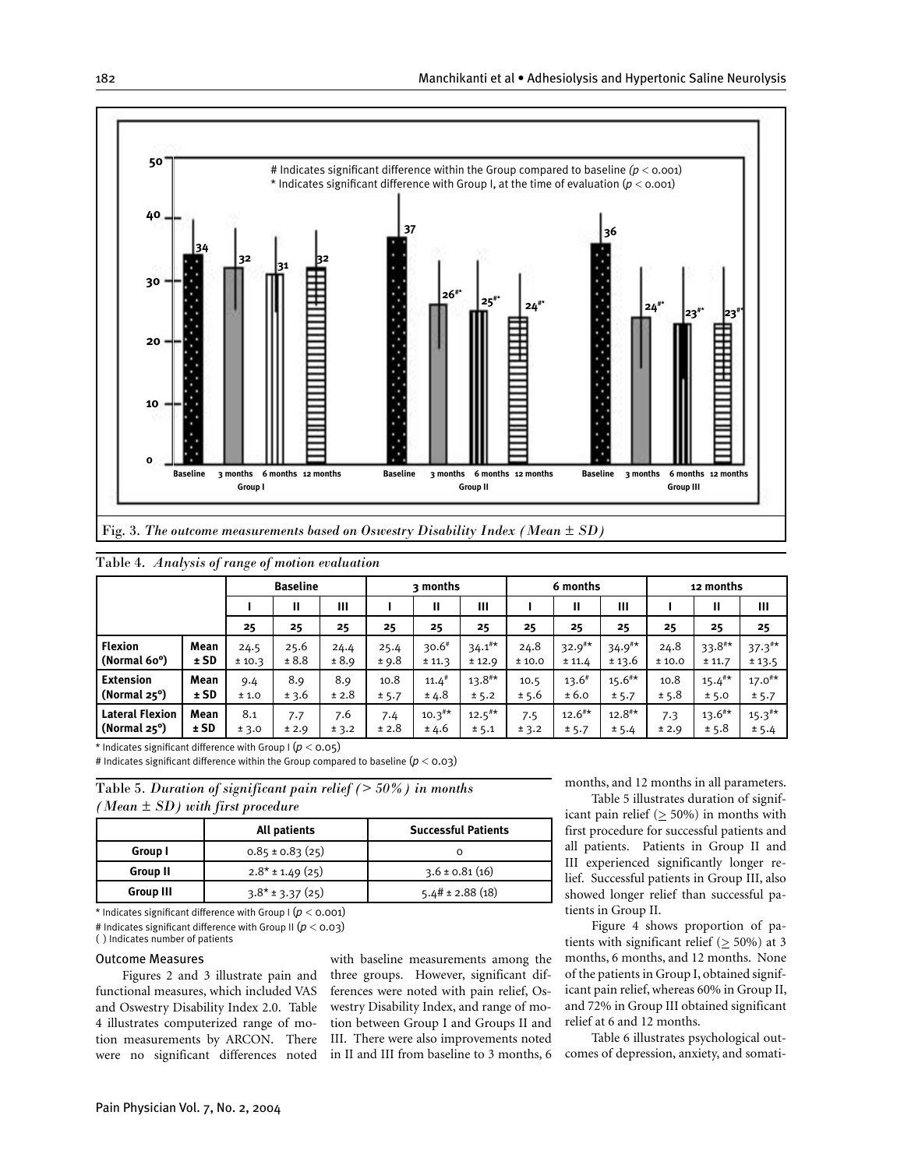

|  |  | Table 4. Analysis of range of motion evaluation |
|--|--|-------------------------------------------------|
|  |  |                                                 |

|                        |        | <b>Baseline</b> |       |       | 3 months |                     |                    | 6 months |                    |                    | 12 months |                    |                      |
|------------------------|--------|-----------------|-------|-------|----------|---------------------|--------------------|----------|--------------------|--------------------|-----------|--------------------|----------------------|
|                        |        |                 | Ш     | Ш     |          | Ш                   | Ш                  |          | Ш                  | Ш                  |           | Ш                  | Ш                    |
|                        |        | 25              | 25    | 25    | 25       | 25                  | 25                 | 25       | 25                 | 25                 | 25        | 25                 | 25                   |
| <b>Flexion</b>         | Mean   | 24.5            | 25.6  | 24.4  | 25.4     | $30.6*$             | $34.1^{\text{#*}}$ | 24.8     | $32.9^{\text{**}}$ | $34.9***$          | 24.8      | $33.8***$          | $37.3$ <sup>#*</sup> |
| (Normal 60°)           | $±$ SD | ± 10.3          | ± 8.8 | ± 8.9 | ± 9.8    | ± 11.3              | ± 12.9             | ± 10.0   | ± 11.4             | ± 13.6             | ± 10.0    | ± 11.7             | ± 13.5               |
| <b>Extension</b>       | Mean   | 9.4             | 8.9   | 8.9   | 10.8     | $11.4$ <sup>#</sup> | $13.8^{\text{#}}$  | 10.5     | $13.6^{\#}$        | $15.6^{\text{**}}$ | 10.8      | $15.4^{\text{**}}$ | $17.0^{#*}$          |
| (Normal $25^{\circ}$ ) | $±$ SD | ±1.0            | ± 3.6 | ± 2.8 | ± 5.7    | ± 4.8               | ± 5.2              | ± 5.6    | ± 6.0              | ± 5.7              | ± 5.8     | ± 5.0              | ± 5.7                |
| <b>Lateral Flexion</b> | Mean   | 8.1             | 7.7   | 7.6   | 7.4      | $10.3^{\text{#*}}$  | $12.5^{\#*}$       | 7.5      | $12.6^{\text{**}}$ | $12.8^{\text{**}}$ | 7.3       | $13.6^{\text{**}}$ | $15.3***$            |
| (Normal $25^{\circ}$ ) | ±SD    | ± 3.0           | ± 2.9 | ± 3.2 | ± 2.8    | ± 4.6               | ± 5.1              | ± 3.2    | ± 5.7              | ± 5.4              | ± 2.9     | ± 5.8              | ± 5.4                |

\* Indicates significant difference with Group I (*p* < 0.05)

# Indicates significant difference within the Group compared to baseline  $(p < 0.03)$ 

Table 5*. Duration of significant pain relief (> 50%) in months (Mean ± SD) with first procedure*

|                  | All patients         | <b>Successful Patients</b> |  |  |
|------------------|----------------------|----------------------------|--|--|
| Group I          | $0.85 \pm 0.83$ (25) |                            |  |  |
| <b>Group II</b>  | $2.8* \pm 1.49(25)$  | $3.6 \pm 0.81(16)$         |  |  |
| <b>Group III</b> | $3.8*$ ± 3.37 (25)   | $5.4\# \pm 2.88$ (18)      |  |  |
|                  |                      |                            |  |  |

\* Indicates significant difference with Group I  $(p <$  0.001)

# Indicates significant difference with Group II (*p* < 0.03) ( ) Indicates number of patients

# Outcome Measures

Figures 2 and 3 illustrate pain and functional measures, which included VAS and Oswestry Disability Index 2.0. Table 4 illustrates computerized range of motion measurements by ARCON. There were no significant differences noted

with baseline measurements among the three groups. However, significant differences were noted with pain relief, Oswestry Disability Index, and range of motion between Group I and Groups II and III. There were also improvements noted in II and III from baseline to 3 months, 6 months, and 12 months in all parameters.

Table 5 illustrates duration of significant pain relief ( $\geq 50\%$ ) in months with first procedure for successful patients and all patients. Patients in Group II and III experienced significantly longer relief. Successful patients in Group III, also showed longer relief than successful patients in Group II.

Figure 4 shows proportion of patients with significant relief ( $\geq$  50%) at 3 months, 6 months, and 12 months. None of the patients in Group I, obtained significant pain relief, whereas 60% in Group II, and 72% in Group III obtained significant relief at 6 and 12 months.

Table 6 illustrates psychological outcomes of depression, anxiety, and somati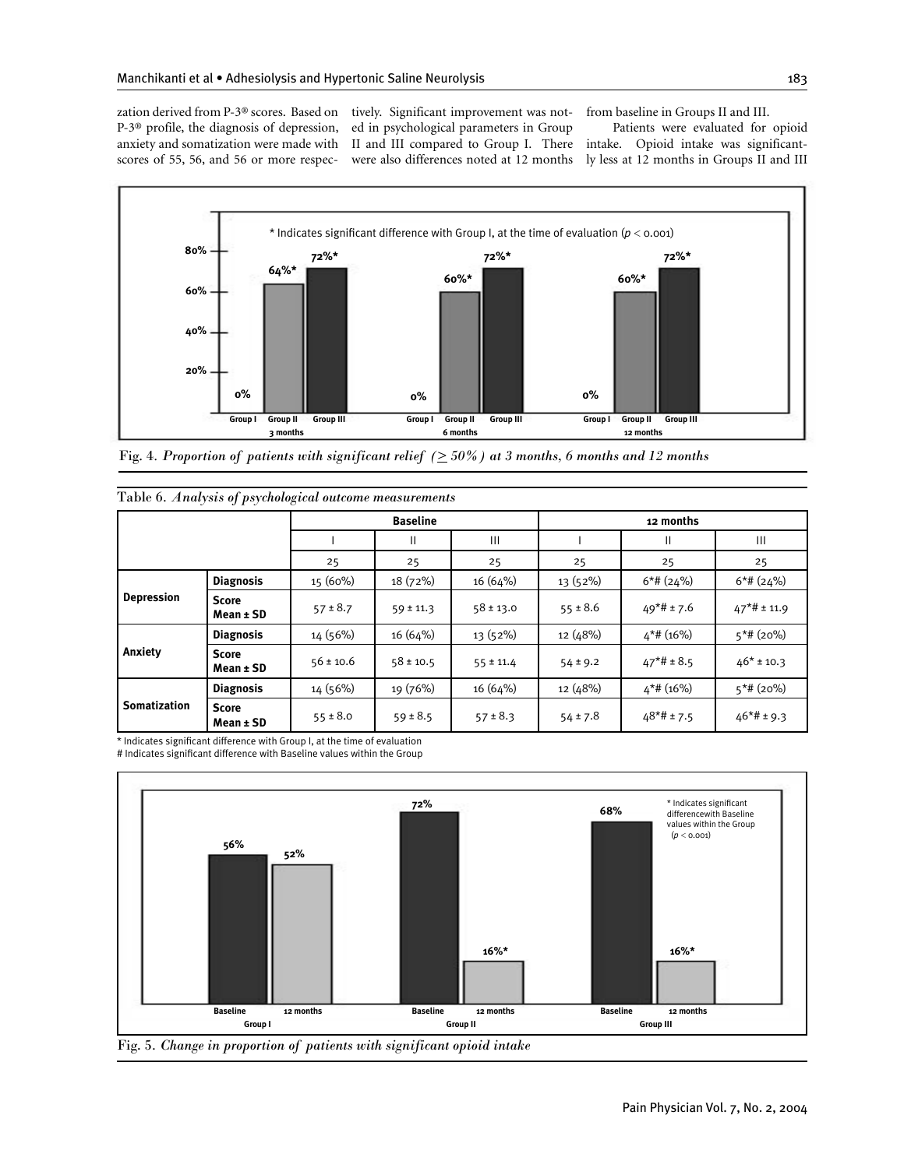P-3® profile, the diagnosis of depression, scores of 55, 56, and 56 or more respec-

zation derived from P-3® scores. Based on tively. Significant improvement was notanxiety and somatization were made with II and III compared to Group I. There intake. Opioid intake was significanted in psychological parameters in Group were also differences noted at 12 months

from baseline in Groups II and III.

Patients were evaluated for opioid ly less at 12 months in Groups II and III



Fig. 4*. Proportion of patients with significant relief*  $( \geq 50\%)$  at 3 months, 6 months and 12 months

|                     |                               |               | <b>Baseline</b> |               |              | 12 months      |                |
|---------------------|-------------------------------|---------------|-----------------|---------------|--------------|----------------|----------------|
|                     |                               |               | Ш               | Ш             |              | Ш              | Ш              |
|                     |                               | 25            | 25              | 25            | 25           | 25             | 25             |
|                     | <b>Diagnosis</b>              | $15(60\%)$    | 18(72%)         | 16 (64%)      | 13 (52%)     | $6*$ # (24%)   | $6*$ # (24%)   |
| <b>Depression</b>   | <b>Score</b><br>$Mean \pm SD$ | $57 \pm 8.7$  | $59 \pm 11.3$   | $58 \pm 13.0$ | $55 \pm 8.6$ | $49*# \pm 7.6$ | $47*$ # ± 11.9 |
|                     | <b>Diagnosis</b>              | 14 (56%)      | 16 (64%)        | 13 (52%)      | 12 (48%)     | $4*$ # (16%)   | $5*$ # (20%)   |
| Anxiety             | <b>Score</b><br>$Mean \pm SD$ | $56 \pm 10.6$ | $58 \pm 10.5$   | $55 \pm 11.4$ | $54 \pm 9.2$ | $47*# \pm 8.5$ | $46* \pm 10.3$ |
|                     | <b>Diagnosis</b>              | 14 (56%)      | 19 (76%)        | 16 (64%)      | 12 (48%)     | $4*$ # (16%)   | $5*$ # (20%)   |
| <b>Somatization</b> | <b>Score</b><br>Mean ± SD     | $55 \pm 8.0$  | $59 \pm 8.5$    | $57 \pm 8.3$  | $54 \pm 7.8$ | $48*#+7.5$     | $46*#+9.3$     |

|  |  |  |  |  | Table 6. Analysis of psychological outcome measurements |  |
|--|--|--|--|--|---------------------------------------------------------|--|
|  |  |  |  |  |                                                         |  |

\* Indicates significant difference with Group I, at the time of evaluation # Indicates significant difference with Baseline values within the Group

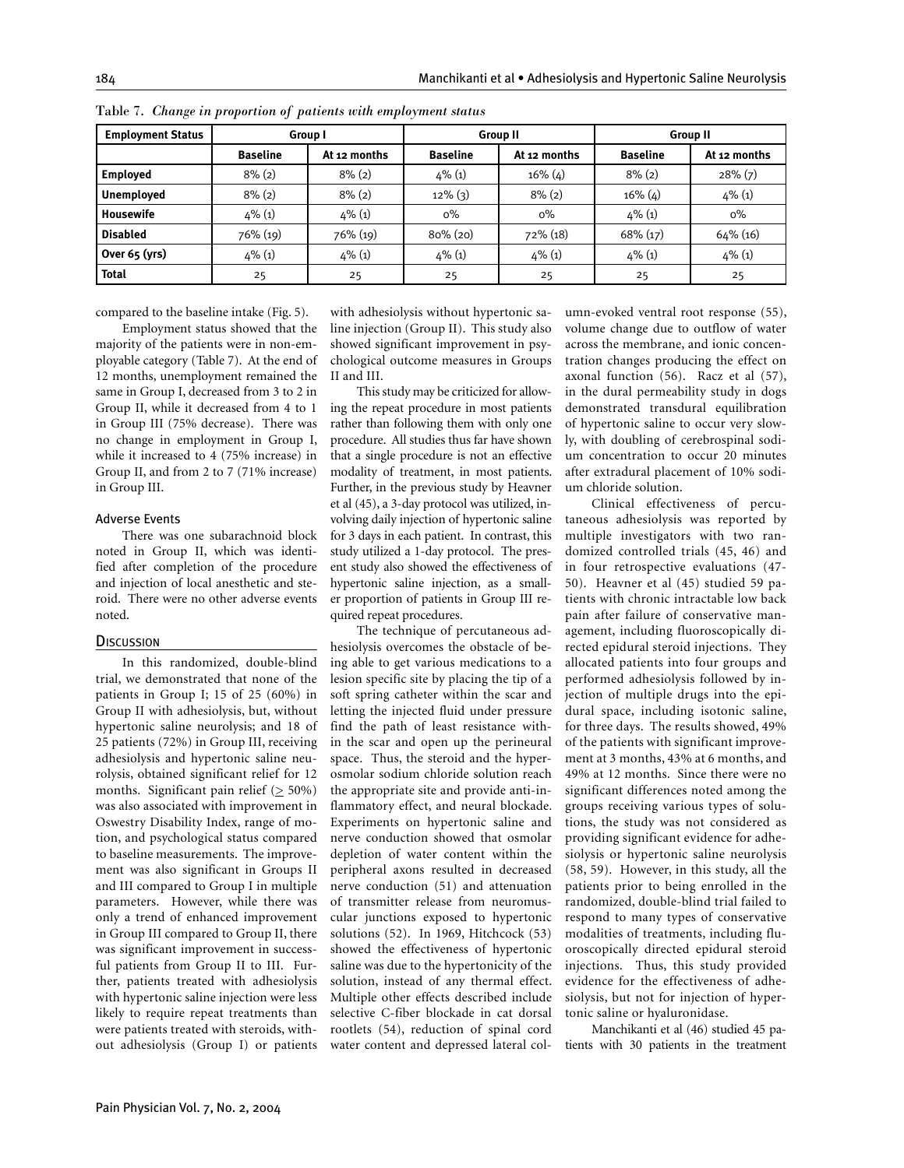| <b>Employment Status</b> |                 | Group I      |                 | <b>Group II</b> | <b>Group II</b> |              |  |
|--------------------------|-----------------|--------------|-----------------|-----------------|-----------------|--------------|--|
|                          | <b>Baseline</b> | At 12 months | <b>Baseline</b> | At 12 months    | <b>Baseline</b> | At 12 months |  |
| <b>Employed</b>          | $8\%$ $(2)$     | $8\%$ (2)    | $4\%$ (1)       | $16\%$ (4)      | $8\%$ (2)       | $28\%$ $(7)$ |  |
| <b>Unemployed</b>        | $8\%$ (2)       | $8\%$ (2)    | $12\%$ (3)      | $8\%$ (2)       | $16\%$ (4)      | $4\%$ (1)    |  |
| Housewife                | $4\%$ (1)       | $4\%$ (1)    | $0\%$           | $0\%$           | $4\%$ (1)       | $0\%$        |  |
| <b>Disabled</b>          | 76% (19)        | 76% (19)     | $80\%$ (20)     | 72% (18)        | $68\%$ $(17)$   | $64\%$ (16)  |  |
| Over 65 (yrs)            | $4\%$ (1)       | $4\%$ (1)    | $4\%$ (1)       | $4\%$ (1)       | $4\%$ (1)       | $4\%$ (1)    |  |
| <b>Total</b>             | 25              | 25           | 25              | 25              | 25              | 25           |  |

Table 7. *Change in proportion of patients with employment status* 

compared to the baseline intake (Fig. 5).

Employment status showed that the majority of the patients were in non-employable category (Table 7). At the end of 12 months, unemployment remained the same in Group I, decreased from 3 to 2 in Group II, while it decreased from 4 to 1 in Group III (75% decrease). There was no change in employment in Group I, while it increased to 4 (75% increase) in Group II, and from 2 to 7 (71% increase) in Group III.

#### Adverse Events

There was one subarachnoid block noted in Group II, which was identified after completion of the procedure and injection of local anesthetic and steroid. There were no other adverse events noted.

#### **DISCUSSION**

In this randomized, double-blind trial, we demonstrated that none of the patients in Group I; 15 of 25 (60%) in Group II with adhesiolysis, but, without hypertonic saline neurolysis; and 18 of 25 patients (72%) in Group III, receiving adhesiolysis and hypertonic saline neurolysis, obtained significant relief for 12 months. Significant pain relief  $($  > 50%) was also associated with improvement in Oswestry Disability Index, range of motion, and psychological status compared to baseline measurements. The improvement was also significant in Groups II and III compared to Group I in multiple parameters. However, while there was only a trend of enhanced improvement in Group III compared to Group II, there was significant improvement in successful patients from Group II to III. Further, patients treated with adhesiolysis with hypertonic saline injection were less likely to require repeat treatments than were patients treated with steroids, without adhesiolysis (Group I) or patients

with adhesiolysis without hypertonic saline injection (Group II). This study also showed significant improvement in psychological outcome measures in Groups II and III.

This study may be criticized for allowing the repeat procedure in most patients rather than following them with only one procedure. All studies thus far have shown that a single procedure is not an effective modality of treatment, in most patients. Further, in the previous study by Heavner et al (45), a 3-day protocol was utilized, involving daily injection of hypertonic saline for 3 days in each patient. In contrast, this study utilized a 1-day protocol. The present study also showed the effectiveness of hypertonic saline injection, as a smaller proportion of patients in Group III required repeat procedures.

The technique of percutaneous adhesiolysis overcomes the obstacle of being able to get various medications to a lesion specific site by placing the tip of a soft spring catheter within the scar and letting the injected fluid under pressure find the path of least resistance within the scar and open up the perineural space. Thus, the steroid and the hyperosmolar sodium chloride solution reach the appropriate site and provide anti-inflammatory effect, and neural blockade. Experiments on hypertonic saline and nerve conduction showed that osmolar depletion of water content within the peripheral axons resulted in decreased nerve conduction (51) and attenuation of transmitter release from neuromuscular junctions exposed to hypertonic solutions (52). In 1969, Hitchcock (53) showed the effectiveness of hypertonic saline was due to the hypertonicity of the solution, instead of any thermal effect. Multiple other effects described include selective C-fiber blockade in cat dorsal rootlets (54), reduction of spinal cord water content and depressed lateral col-

umn-evoked ventral root response (55), volume change due to outflow of water across the membrane, and ionic concentration changes producing the effect on axonal function (56). Racz et al (57), in the dural permeability study in dogs demonstrated transdural equilibration of hypertonic saline to occur very slowly, with doubling of cerebrospinal sodium concentration to occur 20 minutes after extradural placement of 10% sodium chloride solution.

Clinical effectiveness of percutaneous adhesiolysis was reported by multiple investigators with two randomized controlled trials (45, 46) and in four retrospective evaluations (47- 50). Heavner et al (45) studied 59 patients with chronic intractable low back pain after failure of conservative management, including fluoroscopically directed epidural steroid injections. They allocated patients into four groups and performed adhesiolysis followed by injection of multiple drugs into the epidural space, including isotonic saline, for three days. The results showed, 49% of the patients with significant improvement at 3 months, 43% at 6 months, and 49% at 12 months. Since there were no significant differences noted among the groups receiving various types of solutions, the study was not considered as providing significant evidence for adhesiolysis or hypertonic saline neurolysis (58, 59). However, in this study, all the patients prior to being enrolled in the randomized, double-blind trial failed to respond to many types of conservative modalities of treatments, including fluoroscopically directed epidural steroid injections. Thus, this study provided evidence for the effectiveness of adhesiolysis, but not for injection of hypertonic saline or hyaluronidase.

Manchikanti et al (46) studied 45 patients with 30 patients in the treatment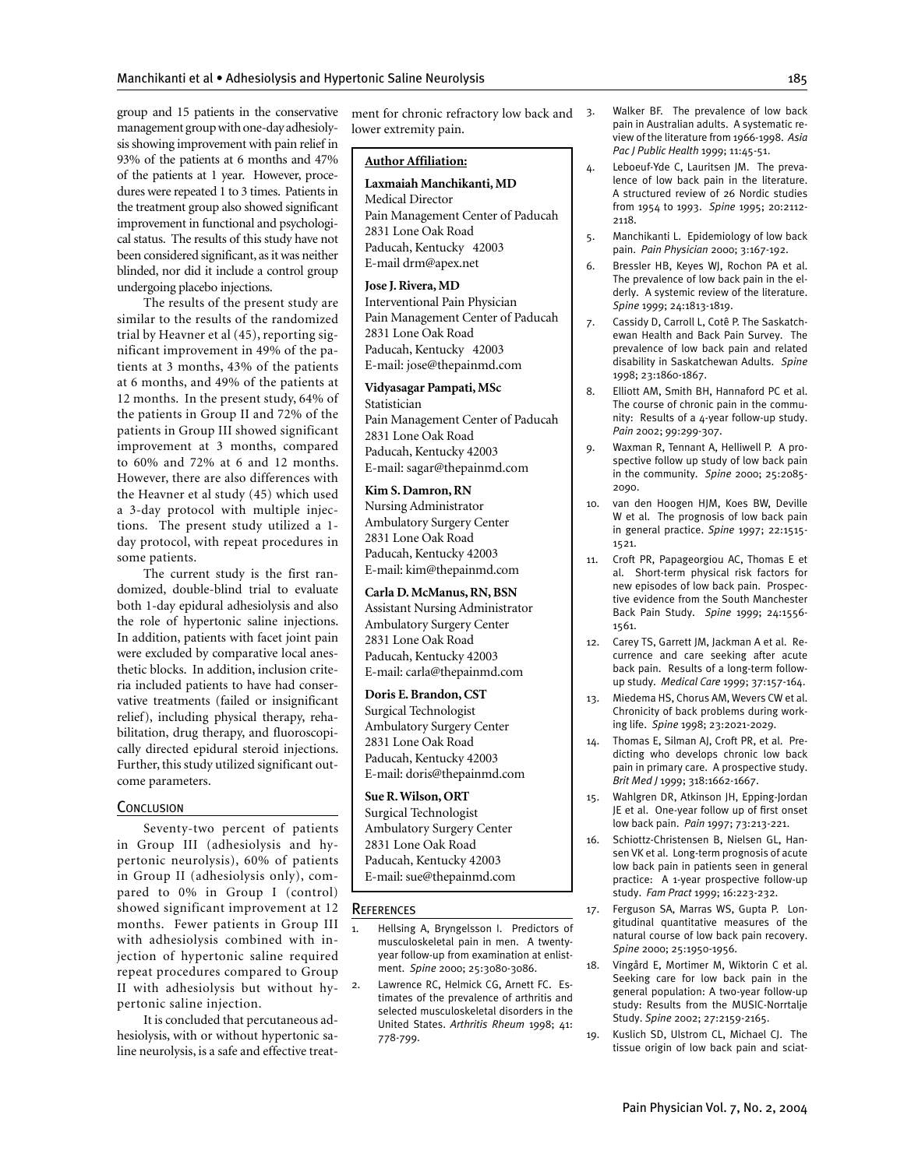group and 15 patients in the conservative management group with one-day adhesiolysis showing improvement with pain relief in 93% of the patients at 6 months and 47% of the patients at 1 year. However, procedures were repeated 1 to 3 times. Patients in the treatment group also showed significant improvement in functional and psychological status. The results of this study have not been considered significant, as it was neither blinded, nor did it include a control group undergoing placebo injections.

The results of the present study are similar to the results of the randomized trial by Heavner et al (45), reporting significant improvement in 49% of the patients at 3 months, 43% of the patients at 6 months, and 49% of the patients at 12 months. In the present study, 64% of the patients in Group II and 72% of the patients in Group III showed significant improvement at 3 months, compared to 60% and 72% at 6 and 12 months. However, there are also differences with the Heavner et al study (45) which used a 3-day protocol with multiple injections. The present study utilized a 1 day protocol, with repeat procedures in some patients.

The current study is the first randomized, double-blind trial to evaluate both 1-day epidural adhesiolysis and also the role of hypertonic saline injections. In addition, patients with facet joint pain were excluded by comparative local anesthetic blocks. In addition, inclusion criteria included patients to have had conservative treatments (failed or insignificant relief), including physical therapy, rehabilitation, drug therapy, and fluoroscopically directed epidural steroid injections. Further, this study utilized significant outcome parameters.

#### **CONCLUSION**

Seventy-two percent of patients in Group III (adhesiolysis and hypertonic neurolysis), 60% of patients in Group II (adhesiolysis only), compared to 0% in Group I (control) showed significant improvement at 12 months. Fewer patients in Group III with adhesiolysis combined with injection of hypertonic saline required repeat procedures compared to Group II with adhesiolysis but without hypertonic saline injection.

It is concluded that percutaneous adhesiolysis, with or without hypertonic saline neurolysis, is a safe and effective treatment for chronic refractory low back and 3. lower extremity pain.

# **Author Affiliation:**

**Laxmaiah Manchikanti, MD** Medical Director Pain Management Center of Paducah 2831 Lone Oak Road Paducah, Kentucky 42003 E-mail drm@apex.net

# **Jose J. Rivera, MD**

Interventional Pain Physician Pain Management Center of Paducah 2831 Lone Oak Road Paducah, Kentucky 42003 E-mail: jose@thepainmd.com

#### **Vidyasagar Pampati, MSc**  Statistician Pain Management Center of Paducah

2831 Lone Oak Road Paducah, Kentucky 42003 E-mail: sagar@thepainmd.com

# **Kim S. Damron, RN**

Nursing Administrator Ambulatory Surgery Center 2831 Lone Oak Road Paducah, Kentucky 42003 E-mail: kim@thepainmd.com

# **Carla D. McManus, RN, BSN**

Assistant Nursing Administrator Ambulatory Surgery Center 2831 Lone Oak Road Paducah, Kentucky 42003 E-mail: carla@thepainmd.com

# **Doris E. Brandon, CST**

Surgical Technologist Ambulatory Surgery Center 2831 Lone Oak Road Paducah, Kentucky 42003 E-mail: doris@thepainmd.com

# **Sue R. Wilson, ORT**

Surgical Technologist Ambulatory Surgery Center 2831 Lone Oak Road Paducah, Kentucky 42003 E-mail: sue@thepainmd.com

#### **REFERENCES**

- 1. Hellsing A, Bryngelsson I. Predictors of musculoskeletal pain in men. A twentyyear follow-up from examination at enlistment. *Spine* 2000; 25:3080-3086.
- 2. Lawrence RC, Helmick CG, Arnett FC. Estimates of the prevalence of arthritis and selected musculoskeletal disorders in the United States. *Arthritis Rheum* 1998; 41: 778-799.
- Walker BF. The prevalence of low back pain in Australian adults. A systematic review of the literature from 1966-1998. *Asia Pac J Public Health* 1999; 11:45-51.
- 4. Leboeuf-Yde C, Lauritsen JM. The prevalence of low back pain in the literature. A structured review of 26 Nordic studies from 1954 to 1993. *Spine* 1995; 20:2112- 2118.
- 5. Manchikanti L. Epidemiology of low back pain. *Pain Physician* 2000; 3:167-192.
- 6. Bressler HB, Keyes WJ, Rochon PA et al. The prevalence of low back pain in the elderly. A systemic review of the literature. *Spine* 1999; 24:1813-1819.
- Cassidy D, Carroll L, Cotê P. The Saskatchewan Health and Back Pain Survey. The prevalence of low back pain and related disability in Saskatchewan Adults. *Spine*  1998; 23:1860-1867.
- 8. Elliott AM, Smith BH, Hannaford PC et al. The course of chronic pain in the community: Results of a  $4$ -year follow-up study. *Pain* 2002; 99:299-307.
- Waxman R, Tennant A, Helliwell P. A prospective follow up study of low back pain in the community. *Spine* 2000; 25:2085- 2090.
- 10. van den Hoogen HJM, Koes BW, Deville W et al. The prognosis of low back pain in general practice. *Spine* 1997; 22:1515- 1521.
- 11. Croft PR, Papageorgiou AC, Thomas E et al. Short-term physical risk factors for new episodes of low back pain. Prospective evidence from the South Manchester Back Pain Study. *Spine* 1999; 24:1556- 1561.
- 12. Carey TS, Garrett JM, Jackman A et al. Recurrence and care seeking after acute back pain. Results of a long-term followup study. *Medical Care* 1999; 37:157-164.
- 13. Miedema HS, Chorus AM, Wevers CW et al. Chronicity of back problems during working life. *Spine* 1998; 23:2021-2029.
- 14. Thomas E, Silman AJ, Croft PR, et al. Predicting who develops chronic low back pain in primary care. A prospective study. *Brit Med J* 1999; 318:1662-1667.
- 15. Wahlgren DR, Atkinson JH, Epping-Jordan JE et al. One-year follow up of first onset low back pain. *Pain* 1997; 73:213-221.
- 16. Schiottz-Christensen B, Nielsen GL, Hansen VK et al. Long-term prognosis of acute low back pain in patients seen in general practice: A 1-year prospective follow-up study. *Fam Pract* 1999; 16:223-232.
- 17. Ferguson SA, Marras WS, Gupta P. Longitudinal quantitative measures of the natural course of low back pain recovery. *Spine* 2000; 25:1950-1956.
- 18. Vingård E, Mortimer M, Wiktorin C et al. Seeking care for low back pain in the general population: A two-year follow-up study: Results from the MUSIC-Norrtalje Study. *Spine* 2002; 27:2159-2165.
- 19. Kuslich SD, Ulstrom CL, Michael CJ. The tissue origin of low back pain and sciat-